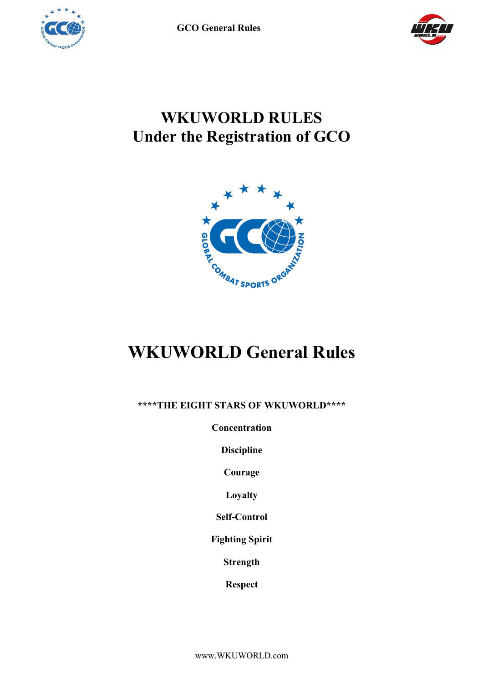

**GCO General Rules**



# **WKUWORLD RULES Under the Registration of GCO**



# **WKUWORLD General Rules**

**\*\*\*\*THE EIGHT STARS OF WKUWORLD\*\*\*\***

**Concentration**

**Discipline**

**Courage**

**Loyalty**

**Self-Control**

**Fighting Spirit**

**Strength**

**Respect**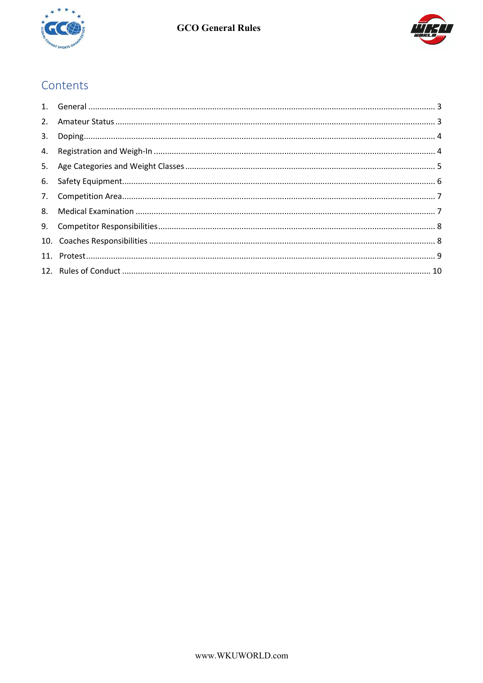



# Contents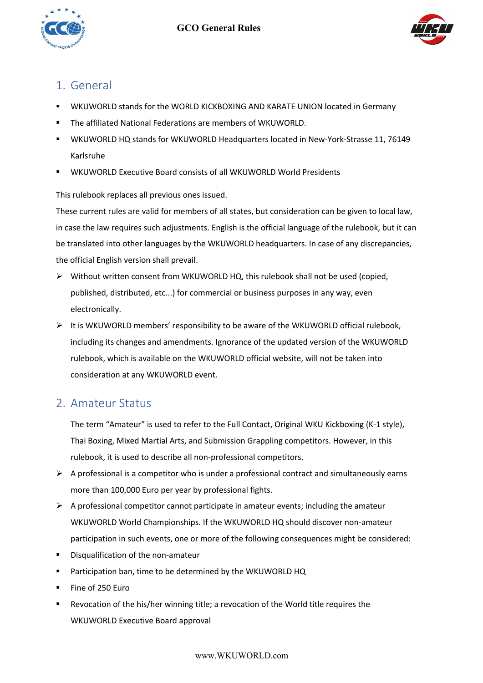



# 1. General

- ! WKUWORLD stands for the WORLD KICKBOXING AND KARATE UNION located in Germany
- ! The affiliated National Federations are members of WKUWORLD.
- ! WKUWORLD HQ stands for WKUWORLD Headquarters located in New-York-Strasse 11, 76149 Karlsruhe
- WKUWORLD Executive Board consists of all WKUWORLD World Presidents

This rulebook replaces all previous ones issued.

These current rules are valid for members of all states, but consideration can be given to local law, in case the law requires such adjustments. English is the official language of the rulebook, but it can be translated into other languages by the WKUWORLD headquarters. In case of any discrepancies, the official English version shall prevail.

- $\triangleright$  Without written consent from WKUWORLD HQ, this rulebook shall not be used (copied, published, distributed, etc...) for commercial or business purposes in any way, even electronically.
- $\triangleright$  It is WKUWORLD members' responsibility to be aware of the WKUWORLD official rulebook, including its changes and amendments. Ignorance of the updated version of the WKUWORLD rulebook, which is available on the WKUWORLD official website, will not be taken into consideration at any WKUWORLD event.

# 2. Amateur Status

The term "Amateur" is used to refer to the Full Contact, Original WKU Kickboxing (K-1 style), Thai Boxing, Mixed Martial Arts, and Submission Grappling competitors. However, in this rulebook, it is used to describe all non-professional competitors.

- $\triangleright$  A professional is a competitor who is under a professional contract and simultaneously earns more than 100,000 Euro per year by professional fights.
- $\triangleright$  A professional competitor cannot participate in amateur events; including the amateur WKUWORLD World Championships. If the WKUWORLD HQ should discover non-amateur participation in such events, one or more of the following consequences might be considered:
- **EXEC** Disqualification of the non-amateur
- Participation ban, time to be determined by the WKUWORLD HQ
- Fine of 250 Euro
- Revocation of the his/her winning title; a revocation of the World title requires the WKUWORLD Executive Board approval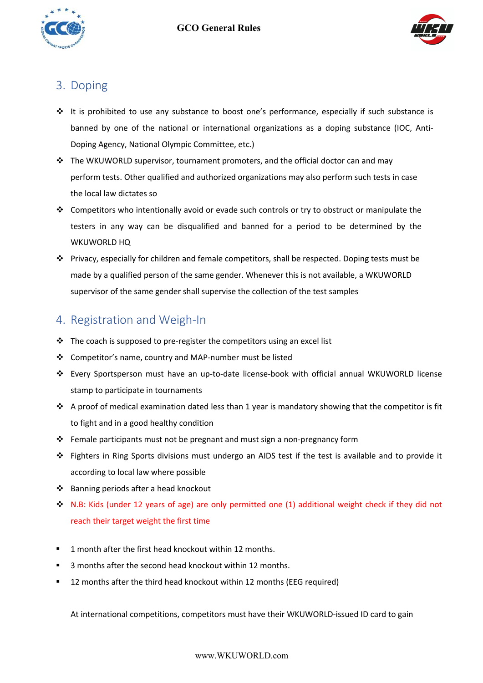



# 3. Doping

- $\cdot \cdot$  It is prohibited to use any substance to boost one's performance, especially if such substance is banned by one of the national or international organizations as a doping substance (IOC, Anti-Doping Agency, National Olympic Committee, etc.)
- $\cdot \cdot$  The WKUWORLD supervisor, tournament promoters, and the official doctor can and may perform tests. Other qualified and authorized organizations may also perform such tests in case the local law dictates so
- $\cdot \cdot$  Competitors who intentionally avoid or evade such controls or try to obstruct or manipulate the testers in any way can be disqualified and banned for a period to be determined by the WKUWORLD HQ
- $\cdot \cdot$  Privacy, especially for children and female competitors, shall be respected. Doping tests must be made by a qualified person of the same gender. Whenever this is not available, a WKUWORLD supervisor of the same gender shall supervise the collection of the test samples

# 4. Registration and Weigh-In

- $\cdot \cdot$  The coach is supposed to pre-register the competitors using an excel list
- # Competitor's name, country and MAP-number must be listed
- # Every Sportsperson must have an up-to-date license-book with official annual WKUWORLD license stamp to participate in tournaments
- $\cdot \cdot$  A proof of medical examination dated less than 1 year is mandatory showing that the competitor is fit to fight and in a good healthy condition
- \* Female participants must not be pregnant and must sign a non-pregnancy form
- # Fighters in Ring Sports divisions must undergo an AIDS test if the test is available and to provide it according to local law where possible
- # Banning periods after a head knockout
- $\cdot \cdot$  N.B: Kids (under 12 years of age) are only permitted one (1) additional weight check if they did not reach their target weight the first time
- ! 1 month after the first head knockout within 12 months.
- ! 3 months after the second head knockout within 12 months.
- ! 12 months after the third head knockout within 12 months (EEG required)

At international competitions, competitors must have their WKUWORLD-issued ID card to gain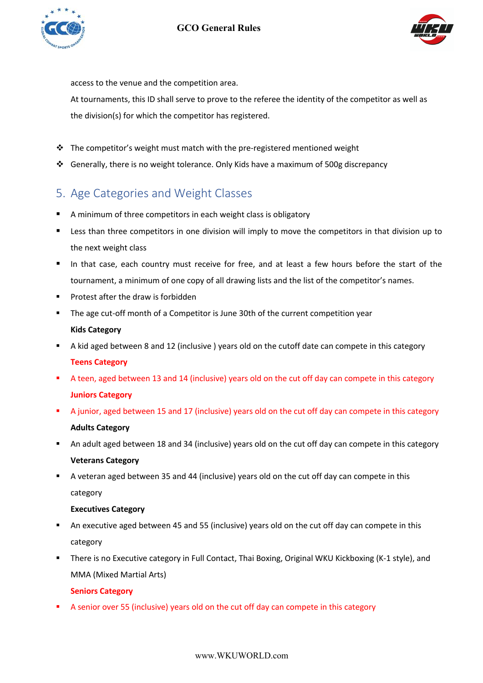



access to the venue and the competition area.

At tournaments, this ID shall serve to prove to the referee the identity of the competitor as well as the division(s) for which the competitor has registered.

- $\cdot \cdot$  The competitor's weight must match with the pre-registered mentioned weight
- $\div$  Generally, there is no weight tolerance. Only Kids have a maximum of 500g discrepancy

# 5. Age Categories and Weight Classes

- A minimum of three competitors in each weight class is obligatory
- Less than three competitors in one division will imply to move the competitors in that division up to the next weight class
- In that case, each country must receive for free, and at least a few hours before the start of the tournament, a minimum of one copy of all drawing lists and the list of the competitor's names.
- ! Protest after the draw is forbidden
- ! The age cut-off month of a Competitor is June 30th of the current competition year **Kids Category**
- A kid aged between 8 and 12 (inclusive ) years old on the cutoff date can compete in this category **Teens Category**
- ! A teen, aged between 13 and 14 (inclusive) years old on the cut off day can compete in this category **Juniors Category**
- A junior, aged between 15 and 17 (inclusive) years old on the cut off day can compete in this category **Adults Category**
- ! An adult aged between 18 and 34 (inclusive) years old on the cut off day can compete in this category **Veterans Category**
- ! A veteran aged between 35 and 44 (inclusive) years old on the cut off day can compete in this category

#### **Executives Category**

- ! An executive aged between 45 and 55 (inclusive) years old on the cut off day can compete in this category
- ! There is no Executive category in Full Contact, Thai Boxing, Original WKU Kickboxing (K-1 style), and MMA (Mixed Martial Arts)

#### **Seniors Category**

! A senior over 55 (inclusive) years old on the cut off day can compete in this category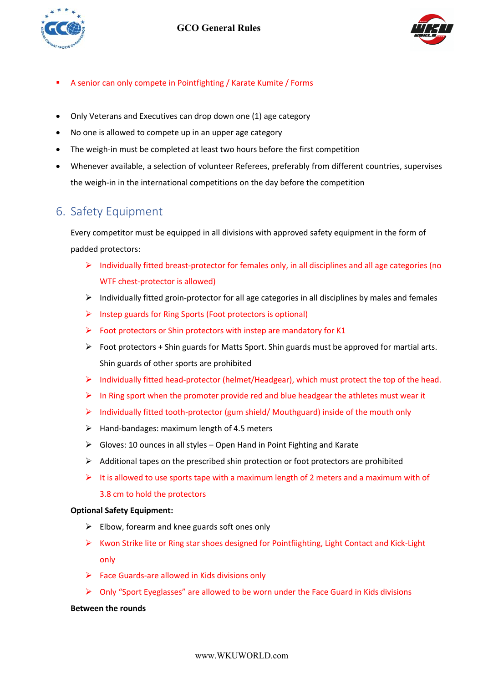



- ! A senior can only compete in Pointfighting / Karate Kumite / Forms
- Only Veterans and Executives can drop down one (1) age category
- No one is allowed to compete up in an upper age category
- The weigh-in must be completed at least two hours before the first competition
- Whenever available, a selection of volunteer Referees, preferably from different countries, supervises the weigh-in in the international competitions on the day before the competition

# 6. Safety Equipment

Every competitor must be equipped in all divisions with approved safety equipment in the form of padded protectors:

- $\triangleright$  Individually fitted breast-protector for females only, in all disciplines and all age categories (no WTF chest-protector is allowed)
- $\triangleright$  Individually fitted groin-protector for all age categories in all disciplines by males and females
- $\triangleright$  Instep guards for Ring Sports (Foot protectors is optional)
- $\triangleright$  Foot protectors or Shin protectors with instep are mandatory for K1
- $\triangleright$  Foot protectors + Shin guards for Matts Sport. Shin guards must be approved for martial arts. Shin guards of other sports are prohibited
- $\triangleright$  Individually fitted head-protector (helmet/Headgear), which must protect the top of the head.
- $\triangleright$  In Ring sport when the promoter provide red and blue headgear the athletes must wear it
- $\triangleright$  Individually fitted tooth-protector (gum shield/ Mouthguard) inside of the mouth only
- $\triangleright$  Hand-bandages: maximum length of 4.5 meters
- $\triangleright$  Gloves: 10 ounces in all styles Open Hand in Point Fighting and Karate
- $\triangleright$  Additional tapes on the prescribed shin protection or foot protectors are prohibited
- $\triangleright$  It is allowed to use sports tape with a maximum length of 2 meters and a maximum with of 3.8 cm to hold the protectors

#### **Optional Safety Equipment:**

- $\triangleright$  Elbow, forearm and knee guards soft ones only
- $\triangleright$  Kwon Strike lite or Ring star shoes designed for Pointfiighting, Light Contact and Kick-Light only
- $\triangleright$  Face Guards-are allowed in Kids divisions only
- $\triangleright$  Only "Sport Eyeglasses" are allowed to be worn under the Face Guard in Kids divisions

#### **Between the rounds**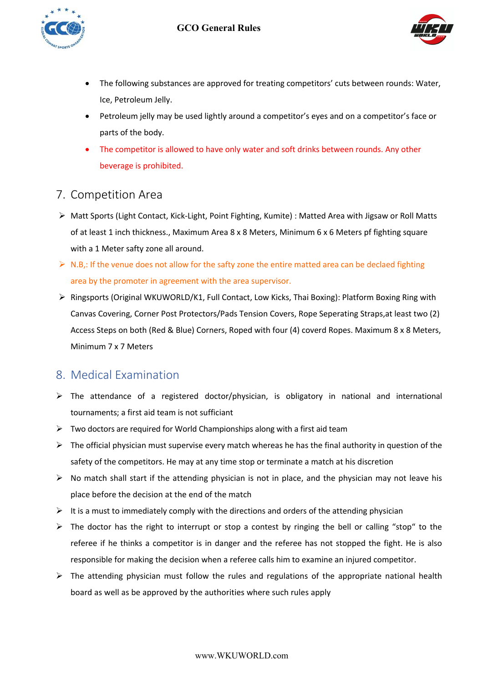



- The following substances are approved for treating competitors' cuts between rounds: Water, Ice, Petroleum Jelly.
- Petroleum jelly may be used lightly around a competitor's eyes and on a competitor's face or parts of the body.
- The competitor is allowed to have only water and soft drinks between rounds. Any other beverage is prohibited.

## 7. Competition Area

- > Matt Sports (Light Contact, Kick-Light, Point Fighting, Kumite) : Matted Area with Jigsaw or Roll Matts of at least 1 inch thickness., Maximum Area 8 x 8 Meters, Minimum 6 x 6 Meters pf fighting square with a 1 Meter safty zone all around.
- $\triangleright$  N.B,: If the venue does not allow for the safty zone the entire matted area can be declaed fighting area by the promoter in agreement with the area supervisor.
- $\triangleright$  Ringsports (Original WKUWORLD/K1, Full Contact, Low Kicks, Thai Boxing): Platform Boxing Ring with Canvas Covering, Corner Post Protectors/Pads Tension Covers, Rope Seperating Straps,at least two (2) Access Steps on both (Red & Blue) Corners, Roped with four (4) coverd Ropes. Maximum 8 x 8 Meters, Minimum 7 x 7 Meters

# 8. Medical Examination

- $\triangleright$  The attendance of a registered doctor/physician, is obligatory in national and international tournaments; a first aid team is not sufficiant
- $\triangleright$  Two doctors are required for World Championships along with a first aid team
- $\triangleright$  The official physician must supervise every match whereas he has the final authority in question of the safety of the competitors. He may at any time stop or terminate a match at his discretion
- $\triangleright$  No match shall start if the attending physician is not in place, and the physician may not leave his place before the decision at the end of the match
- $\triangleright$  It is a must to immediately comply with the directions and orders of the attending physician
- $\triangleright$  The doctor has the right to interrupt or stop a contest by ringing the bell or calling "stop" to the referee if he thinks a competitor is in danger and the referee has not stopped the fight. He is also responsible for making the decision when a referee calls him to examine an injured competitor.
- $\triangleright$  The attending physician must follow the rules and regulations of the appropriate national health board as well as be approved by the authorities where such rules apply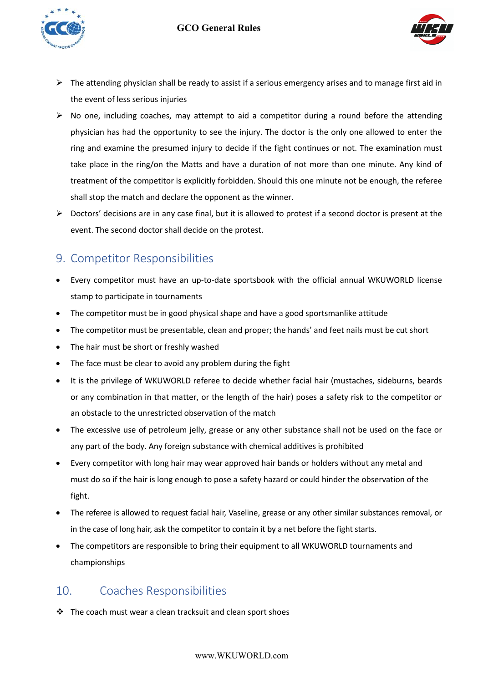



- $\triangleright$  The attending physician shall be ready to assist if a serious emergency arises and to manage first aid in the event of less serious injuries
- $\triangleright$  No one, including coaches, may attempt to aid a competitor during a round before the attending physician has had the opportunity to see the injury. The doctor is the only one allowed to enter the ring and examine the presumed injury to decide if the fight continues or not. The examination must take place in the ring/on the Matts and have a duration of not more than one minute. Any kind of treatment of the competitor is explicitly forbidden. Should this one minute not be enough, the referee shall stop the match and declare the opponent as the winner.
- $\triangleright$  Doctors' decisions are in any case final, but it is allowed to protest if a second doctor is present at the event. The second doctor shall decide on the protest.

# 9. Competitor Responsibilities

- Every competitor must have an up-to-date sportsbook with the official annual WKUWORLD license stamp to participate in tournaments
- The competitor must be in good physical shape and have a good sportsmanlike attitude
- The competitor must be presentable, clean and proper; the hands' and feet nails must be cut short
- The hair must be short or freshly washed
- The face must be clear to avoid any problem during the fight
- It is the privilege of WKUWORLD referee to decide whether facial hair (mustaches, sideburns, beards or any combination in that matter, or the length of the hair) poses a safety risk to the competitor or an obstacle to the unrestricted observation of the match
- The excessive use of petroleum jelly, grease or any other substance shall not be used on the face or any part of the body. Any foreign substance with chemical additives is prohibited
- Every competitor with long hair may wear approved hair bands or holders without any metal and must do so if the hair is long enough to pose a safety hazard or could hinder the observation of the fight.
- The referee is allowed to request facial hair, Vaseline, grease or any other similar substances removal, or in the case of long hair, ask the competitor to contain it by a net before the fight starts.
- The competitors are responsible to bring their equipment to all WKUWORLD tournaments and championships

# 10. Coaches Responsibilities

 $\cdot \cdot$  The coach must wear a clean tracksuit and clean sport shoes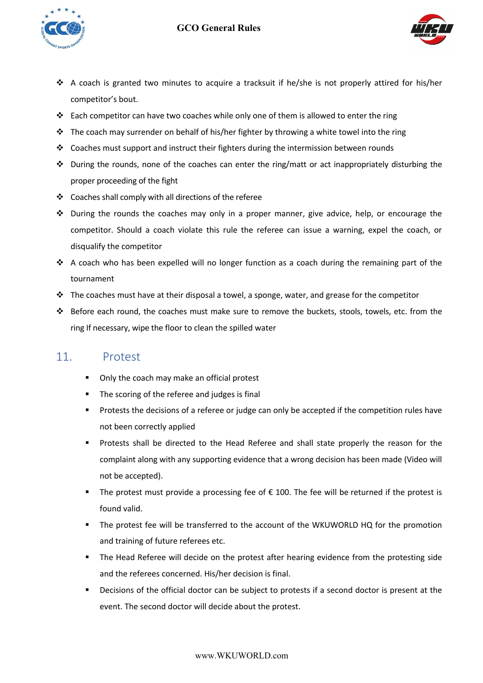### **GCO General Rules**





- \* A coach is granted two minutes to acquire a tracksuit if he/she is not properly attired for his/her competitor's bout.
- \* Each competitor can have two coaches while only one of them is allowed to enter the ring
- $\cdot \cdot$  The coach may surrender on behalf of his/her fighter by throwing a white towel into the ring
- $\cdot \cdot$  Coaches must support and instruct their fighters during the intermission between rounds
- $\cdot \cdot$  During the rounds, none of the coaches can enter the ring/matt or act inappropriately disturbing the proper proceeding of the fight
- # Coaches shall comply with all directions of the referee
- $\div$  During the rounds the coaches may only in a proper manner, give advice, help, or encourage the competitor. Should a coach violate this rule the referee can issue a warning, expel the coach, or disqualify the competitor
- \* A coach who has been expelled will no longer function as a coach during the remaining part of the tournament
- $\cdot \cdot$  The coaches must have at their disposal a towel, a sponge, water, and grease for the competitor
- # Before each round, the coaches must make sure to remove the buckets, stools, towels, etc. from the ring If necessary, wipe the floor to clean the spilled water

## 11. Protest

- Only the coach may make an official protest
- **The scoring of the referee and judges is final**
- ! Protests the decisions of a referee or judge can only be accepted if the competition rules have not been correctly applied
- ! Protests shall be directed to the Head Referee and shall state properly the reason for the complaint along with any supporting evidence that a wrong decision has been made (Video will not be accepted).
- The protest must provide a processing fee of  $\epsilon$  100. The fee will be returned if the protest is found valid.
- ! The protest fee will be transferred to the account of the WKUWORLD HQ for the promotion and training of future referees etc.
- ! The Head Referee will decide on the protest after hearing evidence from the protesting side and the referees concerned. His/her decision is final.
- ! Decisions of the official doctor can be subject to protests if a second doctor is present at the event. The second doctor will decide about the protest.